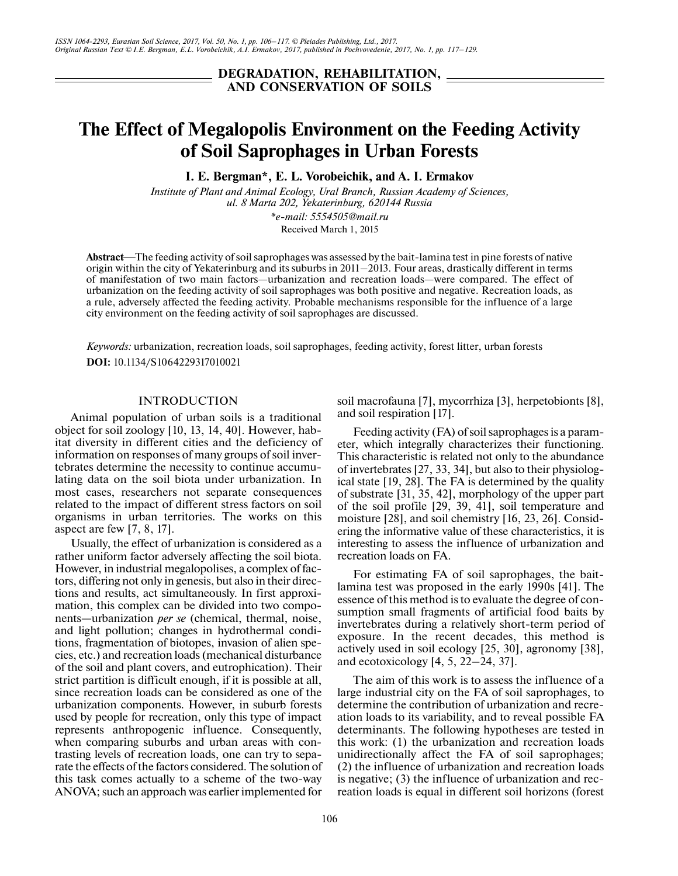# **DEGRADATION, REHABILITATION, AND CONSERVATION OF SOILS**

# **The Effect of Megalopolis Environment on the Feeding Activity of Soil Saprophages in Urban Forests**

**I. E. Bergman\*, E. L. Vorobeichik, and A. I. Ermakov**

*Institute of Plant and Animal Ecology, Ural Branch, Russian Academy of Sciences, ul. 8 Marta 202, Yekaterinburg, 620144 Russia \*e-mail: 5554505@mail.ru*

Received March 1, 2015

Abstract—The feeding activity of soil saprophages was assessed by the bait-lamina test in pine forests of native origin within the city of Yekaterinburg and its suburbs in 2011–2013. Four areas, drastically different in terms of manifestation of two main factors—urbanization and recreation loads—were compared. The effect of urbanization on the feeding activity of soil saprophages was both positive and negative. Recreation loads, as a rule, adversely affected the feeding activity. Probable mechanisms responsible for the influence of a large city environment on the feeding activity of soil saprophages are discussed.

*Keywords:* urbanization, recreation loads, soil saprophages, feeding activity, forest litter, urban forests **DOI:** 10.1134/S1064229317010021

## INTRODUCTION

Animal population of urban soils is a traditional object for soil zoology [10, 13, 14, 40]. However, habitat diversity in different cities and the deficiency of information on responses of many groups of soil invertebrates determine the necessity to continue accumulating data on the soil biota under urbanization. In most cases, researchers not separate consequences related to the impact of different stress factors on soil organisms in urban territories. The works on this aspect are few [7, 8, 17].

Usually, the effect of urbanization is considered as a rather uniform factor adversely affecting the soil biota. However, in industrial megalopolises, a complex of factors, differing not only in genesis, but also in their directions and results, act simultaneously. In first approximation, this complex can be divided into two components—urbanization *per se* (chemical, thermal, noise, and light pollution; changes in hydrothermal conditions, fragmentation of biotopes, invasion of alien species, etc.) and recreation loads (mechanical disturbance of the soil and plant covers, and eutrophication). Their strict partition is difficult enough, if it is possible at all, since recreation loads can be considered as one of the urbanization components. However, in suburb forests used by people for recreation, only this type of impact represents anthropogenic influence. Consequently, when comparing suburbs and urban areas with contrasting levels of recreation loads, one can try to separate the effects of the factors considered. The solution of this task comes actually to a scheme of the two-way ANOVA; such an approach was earlier implemented for

Feeding activity (FA) of soil saprophages is a parameter, which integrally characterizes their functioning.

and soil respiration [17].

soil macrofauna [7], mycorrhiza [3], herpetobionts [8],

This characteristic is related not only to the abundance of invertebrates [27, 33, 34], but also to their physiological state [19, 28]. The FA is determined by the quality of substrate [31, 35, 42], morphology of the upper part of the soil profile [29, 39, 41], soil temperature and moisture [28], and soil chemistry [16, 23, 26]. Considering the informative value of these characteristics, it is interesting to assess the influence of urbanization and recreation loads on FA.

For estimating FA of soil saprophages, the baitlamina test was proposed in the early 1990s [41]. The essence of this method is to evaluate the degree of consumption small fragments of artificial food baits by invertebrates during a relatively short-term period of exposure. In the recent decades, this method is actively used in soil ecology [25, 30], agronomy [38], and ecotoxicology [4, 5, 22–24, 37].

The aim of this work is to assess the influence of a large industrial city on the FA of soil saprophages, to determine the contribution of urbanization and recreation loads to its variability, and to reveal possible FA determinants. The following hypotheses are tested in this work: (1) the urbanization and recreation loads unidirectionally affect the FA of soil saprophages; (2) the influence of urbanization and recreation loads is negative; (3) the influence of urbanization and recreation loads is equal in different soil horizons (forest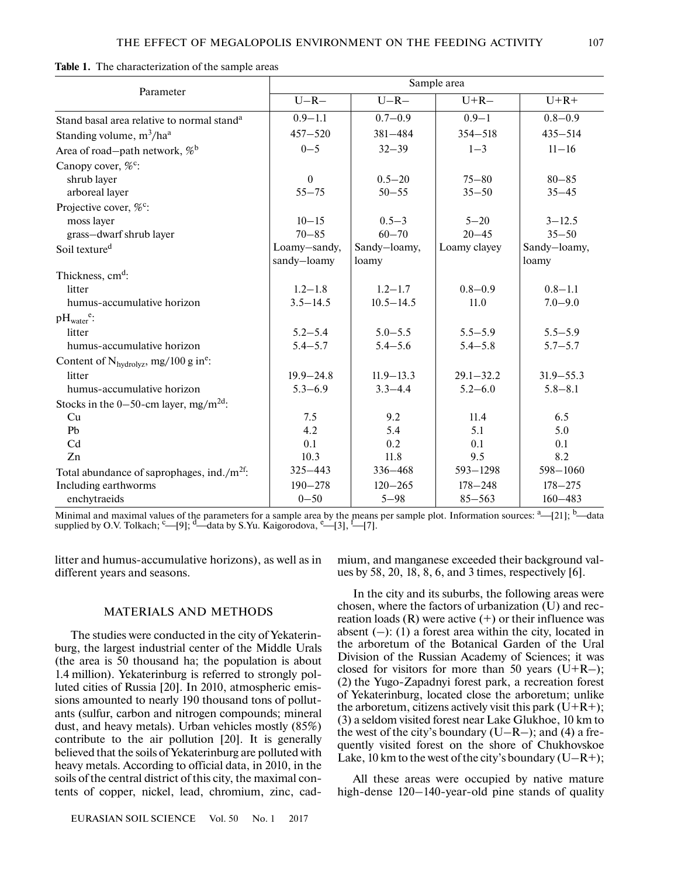| Table 1. The characterization of the sample areas |  |
|---------------------------------------------------|--|
|---------------------------------------------------|--|

| Parameter                                              | Sample area      |               |               |               |  |  |
|--------------------------------------------------------|------------------|---------------|---------------|---------------|--|--|
|                                                        | $U-R-$<br>$U-R-$ |               | $U+R-$        | $U+R+$        |  |  |
| Stand basal area relative to normal stand <sup>a</sup> | $0.9 - 1.1$      | $0.7 - 0.9$   | $0.9 - 1$     | $0.8 - 0.9$   |  |  |
| Standing volume, m <sup>3</sup> /ha <sup>a</sup>       | $457 - 520$      | 381-484       | $354 - 518$   | $435 - 514$   |  |  |
| Area of road-path network, $\%$ <sup>b</sup>           | $0 - 5$          | $32 - 39$     | $1 - 3$       | $11 - 16$     |  |  |
| Canopy cover, % <sup>c</sup> :                         |                  |               |               |               |  |  |
| shrub layer                                            | $\theta$         | $0.5 - 20$    | $75 - 80$     | $80 - 85$     |  |  |
| arboreal layer                                         | $55 - 75$        | $50 - 55$     | $35 - 50$     | $35 - 45$     |  |  |
| Projective cover, % <sup>c</sup> :                     |                  |               |               |               |  |  |
| moss layer                                             | $10 - 15$        | $0.5 - 3$     | $5 - 20$      | $3 - 12.5$    |  |  |
| grass-dwarf shrub layer                                | $70 - 85$        | $60 - 70$     | $20 - 45$     | $35 - 50$     |  |  |
| Soil texture <sup>d</sup>                              | Loamy-sandy,     | Sandy-loamy,  | Loamy clayey  | Sandy-loamy,  |  |  |
|                                                        | sandy-loamy      | loamy         |               | loamy         |  |  |
| Thickness, cm <sup>d</sup> :                           |                  |               |               |               |  |  |
| litter                                                 | $1.2 - 1.8$      | $1.2 - 1.7$   | $0.8 - 0.9$   | $0.8 - 1.1$   |  |  |
| humus-accumulative horizon                             | $3.5 - 14.5$     | $10.5 - 14.5$ | 11.0          | $7.0 - 9.0$   |  |  |
| $pH_{water}^e$ :                                       |                  |               |               |               |  |  |
| litter                                                 | $5.2 - 5.4$      | $5.0 - 5.5$   | $5.5 - 5.9$   | $5.5 - 5.9$   |  |  |
| humus-accumulative horizon                             | $5.4 - 5.7$      | $5.4 - 5.6$   | $5.4 - 5.8$   | $5.7 - 5.7$   |  |  |
| Content of $N_{hydrolyz}$ , mg/100 g in <sup>e</sup> : |                  |               |               |               |  |  |
| litter                                                 | $19.9 - 24.8$    | $11.9 - 13.3$ | $29.1 - 32.2$ | $31.9 - 55.3$ |  |  |
| humus-accumulative horizon                             | $5.3 - 6.9$      | $3.3 - 4.4$   | $5.2 - 6.0$   | $5.8 - 8.1$   |  |  |
| Stocks in the 0–50-cm layer, mg/m <sup>2d</sup> :      |                  |               |               |               |  |  |
| Cu                                                     | 7.5              | 9.2           | 11.4          | 6.5           |  |  |
| P <sub>b</sub>                                         | 4.2              | 5.4           | 5.1           | 5.0           |  |  |
| Cd                                                     | 0.1              | 0.2           | 0.1           | 0.1           |  |  |
| Zn                                                     | 10.3             | 11.8          | 9.5           | 8.2           |  |  |
| Total abundance of saprophages, ind./ $m^{2f}$ :       | 325-443          | 336-468       | $593 - 1298$  | 598-1060      |  |  |
| Including earthworms                                   | $190 - 278$      | $120 - 265$   | $178 - 248$   | $178 - 275$   |  |  |
| enchytraeids                                           | $0 - 50$         | $5 - 98$      | $85 - 563$    | $160 - 483$   |  |  |

Minimal and maximal values of the parameters for a sample area by the means per sample plot. Information sources: <sup>a</sup>—[21]; <sup>b</sup>—data supplied by O.V. Tolkach;  $\epsilon$ —[9];  $\epsilon$ —data by S.Yu. Kaigorodova,  $\epsilon$ —[3],  $\epsilon$ —[7].

litter and humus-accumulative horizons), as well as in different years and seasons.

## MATERIALS AND METHODS

The studies were conducted in the city of Yekaterinburg, the largest industrial center of the Middle Urals (the area is 50 thousand ha; the population is about 1.4 million). Yekaterinburg is referred to strongly polluted cities of Russia [20]. In 2010, atmospheric emissions amounted to nearly 190 thousand tons of pollutants (sulfur, carbon and nitrogen compounds; mineral dust, and heavy metals). Urban vehicles mostly (85%) contribute to the air pollution [20]. It is generally believed that the soils of Yekaterinburg are polluted with heavy metals. According to official data, in 2010, in the soils of the central district of this city, the maximal contents of copper, nickel, lead, chromium, zinc, cad-

EURASIAN SOIL SCIENCE Vol. 50 No. 1 2017

mium, and manganese exceeded their background values by 58, 20, 18, 8, 6, and 3 times, respectively [6].

In the city and its suburbs, the following areas were chosen, where the factors of urbanization (U) and recreation loads  $(R)$  were active  $(+)$  or their influence was absent  $(-)$ : (1) a forest area within the city, located in the arboretum of the Botanical Garden of the Ural Division of the Russian Academy of Sciences; it was closed for visitors for more than 50 years  $(U+R-)$ ; (2) the Yugo-Zapadnyi forest park, a recreation forest of Yekaterinburg, located close the arboretum; unlike the arboretum, citizens actively visit this park  $(U+R+)$ ; (3) a seldom visited forest near Lake Glukhoe, 10 km to the west of the city's boundary  $(U-R-)$ ; and (4) a frequently visited forest on the shore of Chukhovskoe Lake, 10 km to the west of the city's boundary  $(U-R+)$ ;

All these areas were occupied by native mature high-dense 120–140-year-old pine stands of quality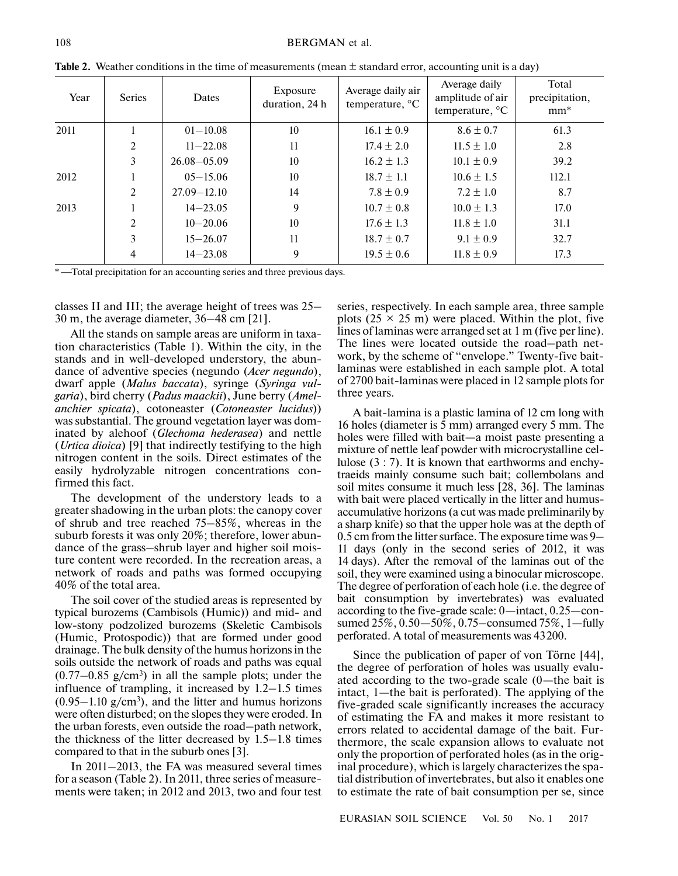| Year | <b>Series</b>  | <b>Dates</b>    | Exposure<br>duration, 24 h | Average daily air<br>temperature, $\mathrm{C}$ | Average daily<br>amplitude of air<br>temperature, $^{\circ}C$ | Total<br>precipitation,<br>$mm^*$ |
|------|----------------|-----------------|----------------------------|------------------------------------------------|---------------------------------------------------------------|-----------------------------------|
| 2011 |                | $01 - 10.08$    | 10                         | $16.1 \pm 0.9$                                 | $8.6 \pm 0.7$                                                 | 61.3                              |
|      | 2              | $11 - 22.08$    | 11                         | $17.4 \pm 2.0$                                 | $11.5 \pm 1.0$                                                | 2.8                               |
|      | 3              | $26.08 - 05.09$ | 10                         | $16.2 \pm 1.3$                                 | $10.1 \pm 0.9$                                                | 39.2                              |
| 2012 |                | $05 - 15.06$    | 10                         | $18.7 \pm 1.1$                                 | $10.6 \pm 1.5$                                                | 112.1                             |
|      | 2              | $27.09 - 12.10$ | 14                         | $7.8 \pm 0.9$                                  | $7.2 \pm 1.0$                                                 | 8.7                               |
| 2013 |                | $14 - 23.05$    | 9                          | $10.7 \pm 0.8$                                 | $10.0 \pm 1.3$                                                | 17.0                              |
|      | $\overline{2}$ | $10 - 20.06$    | 10                         | $17.6 \pm 1.3$                                 | $11.8 \pm 1.0$                                                | 31.1                              |
|      | 3              | $15 - 26.07$    | 11                         | $18.7 \pm 0.7$                                 | $9.1 \pm 0.9$                                                 | 32.7                              |
|      | 4              | $14 - 23.08$    | 9                          | $19.5 \pm 0.6$                                 | $11.8 \pm 0.9$                                                | 17.3                              |

**Table 2.** Weather conditions in the time of measurements (mean  $\pm$  standard error, accounting unit is a day)

\*-Total precipitation for an accounting series and three previous days.

classes II and III; the average height of trees was 25– 30 m, the average diameter, 36–48 cm [21].

All the stands on sample areas are uniform in taxation characteristics (Table 1). Within the city, in the stands and in well-developed understory, the abundance of adventive species (negundo (*Acer negundo*), dwarf apple (*Malus baccata*), syringe (*Syringa vulgaria*), bird cherry (*Padus maackii*), June berry (*Amelanchier spicata*), cotoneaster (*Cotoneaster lucidus*)) was substantial. The ground vegetation layer was dominated by alehoof (*Glechoma hederasea*) and nettle (*Urtica dioica*) [9] that indirectly testifying to the high nitrogen content in the soils. Direct estimates of the easily hydrolyzable nitrogen concentrations confirmed this fact.

The development of the understory leads to a greater shadowing in the urban plots: the canopy cover of shrub and tree reached 75–85%, whereas in the suburb forests it was only 20%; therefore, lower abundance of the grass–shrub layer and higher soil moisture content were recorded. In the recreation areas, a network of roads and paths was formed occupying 40% of the total area.

The soil cover of the studied areas is represented by typical burozems (Cambisols (Humic)) and mid- and low-stony podzolized burozems (Skeletic Cambisols (Humic, Protospodic)) that are formed under good drainage. The bulk density of the humus horizons in the soils outside the network of roads and paths was equal  $(0.77-0.85 \text{ g/cm}^3)$  in all the sample plots; under the influence of trampling, it increased by 1.2–1.5 times  $(0.95-1.10 \text{ g/cm}^3)$ , and the litter and humus horizons were often disturbed; on the slopes they were eroded. In the urban forests, even outside the road–path network, the thickness of the litter decreased by 1.5–1.8 times compared to that in the suburb ones [3].

In 2011–2013, the FA was measured several times for a season (Table 2). In 2011, three series of measurements were taken; in 2012 and 2013, two and four test series, respectively. In each sample area, three sample plots ( $25 \times 25$  m) were placed. Within the plot, five lines of laminas were arranged set at 1 m (five per line). The lines were located outside the road–path network, by the scheme of "envelope." Twenty-five baitlaminas were established in each sample plot. A total of 2700 bait-laminas were placed in 12 sample plots for three years.

A bait-lamina is a plastic lamina of 12 cm long with 16 holes (diameter is 5 mm) arranged every 5 mm. The holes were filled with bait—a moist paste presenting a mixture of nettle leaf powder with microcrystalline cellulose (3 : 7). It is known that earthworms and enchytraeids mainly consume such bait; collembolans and soil mites consume it much less [28, 36]. The laminas with bait were placed vertically in the litter and humusaccumulative horizons (a cut was made preliminarily by a sharp knife) so that the upper hole was at the depth of 0.5 cm from the litter surface. The exposure time was 9– 11 days (only in the second series of 2012, it was 14 days). After the removal of the laminas out of the soil, they were examined using a binocular microscope. The degree of perforation of each hole (i.e. the degree of bait consumption by invertebrates) was evaluated according to the five-grade scale: 0—intact, 0.25—consumed 25%, 0.50—50%, 0.75–consumed 75%, 1—fully perforated. A total of measurements was 43200.

Since the publication of paper of von Törne [44], the degree of perforation of holes was usually evaluated according to the two-grade scale (0—the bait is intact, 1—the bait is perforated). The applying of the five-graded scale significantly increases the accuracy of estimating the FA and makes it more resistant to errors related to accidental damage of the bait. Furthermore, the scale expansion allows to evaluate not only the proportion of perforated holes (as in the original procedure), which is largely characterizes the spatial distribution of invertebrates, but also it enables one to estimate the rate of bait consumption per se, since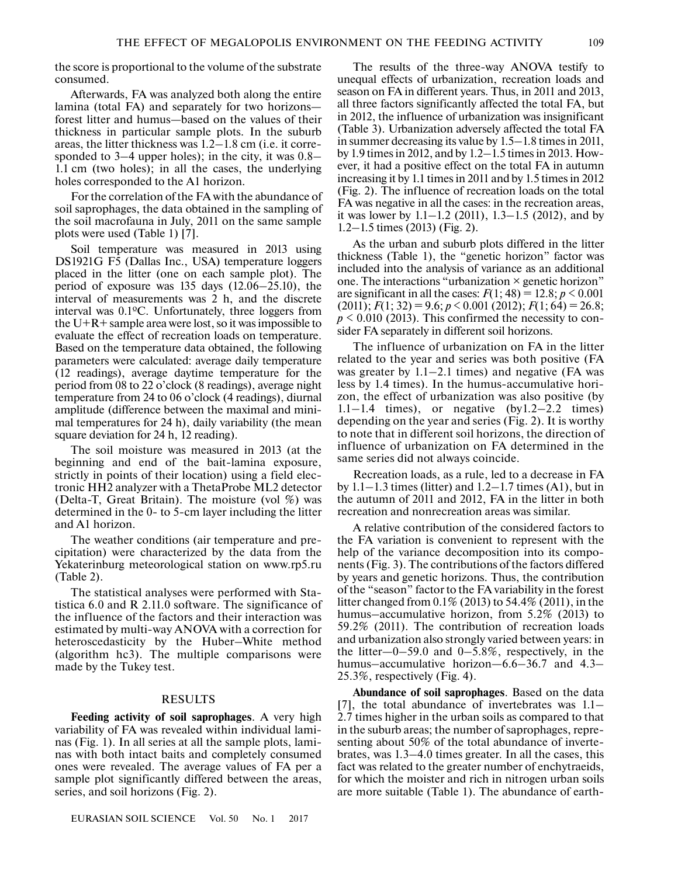the score is proportional to the volume of the substrate consumed.

Afterwards, FA was analyzed both along the entire lamina (total FA) and separately for two horizons forest litter and humus—based on the values of their thickness in particular sample plots. In the suburb areas, the litter thickness was 1.2–1.8 cm (i.e. it corresponded to 3–4 upper holes); in the city, it was 0.8– 1.1 cm (two holes); in all the cases, the underlying holes corresponded to the A1 horizon.

For the correlation of the FA with the abundance of soil saprophages, the data obtained in the sampling of the soil macrofauna in July, 2011 on the same sample plots were used (Table 1) [7].

Soil temperature was measured in 2013 using DS1921G F5 (Dallas Inc., USA) temperature loggers placed in the litter (one on each sample plot). The period of exposure was 135 days (12.06–25.10), the interval of measurements was 2 h, and the discrete interval was 0.1ºC. Unfortunately, three loggers from the  $U+R+$  sample area were lost, so it was impossible to evaluate the effect of recreation loads on temperature. Based on the temperature data obtained, the following parameters were calculated: average daily temperature (12 readings), average daytime temperature for the period from 08 to 22 o'clock (8 readings), average night temperature from 24 to 06 o'clock (4 readings), diurnal amplitude (difference between the maximal and minimal temperatures for 24 h), daily variability (the mean square deviation for 24 h, 12 reading).

The soil moisture was measured in 2013 (at the beginning and end of the bait-lamina exposure, strictly in points of their location) using a field electronic HH2 analyzer with a ThetaProbe ML2 detector (Delta-T, Great Britain). The moisture (vol %) was determined in the 0- to 5-cm layer including the litter and A1 horizon.

The weather conditions (air temperature and precipitation) were characterized by the data from the Yekaterinburg meteorological station on www.rp5.ru (Table 2).

The statistical analyses were performed with Statistica 6.0 and R 2.11.0 software. The significance of the influence of the factors and their interaction was estimated by multi-way ANOVA with a correction for heteroscedasticity by the Huber–White method (algorithm hc3). The multiple comparisons were made by the Tukey test.

#### RESULTS

**Feeding activity of soil saprophages**. A very high variability of FA was revealed within individual laminas (Fig. 1). In all series at all the sample plots, laminas with both intact baits and completely consumed ones were revealed. The average values of FA per a sample plot significantly differed between the areas, series, and soil horizons (Fig. 2).

The results of the three-way ANOVA testify to unequal effects of urbanization, recreation loads and season on FA in different years. Thus, in 2011 and 2013, all three factors significantly affected the total FA, but in 2012, the influence of urbanization was insignificant (Table 3). Urbanization adversely affected the total FA in summer decreasing its value by 1.5–1.8 times in 2011, by 1.9 times in 2012, and by 1.2–1.5 times in 2013. However, it had a positive effect on the total FA in autumn increasing it by 1.1 times in 2011 and by 1.5 times in 2012 (Fig. 2). The influence of recreation loads on the total FA was negative in all the cases: in the recreation areas, it was lower by  $1.1 - 1.2$  (2011),  $1.3 - 1.5$  (2012), and by 1.2–1.5 times (2013) (Fig. 2).

As the urban and suburb plots differed in the litter thickness (Table 1), the "genetic horizon" factor was included into the analysis of variance as an additional one. The interactions "urbanization × genetic horizon" are significant in all the cases:  $F(1; 48) = 12.8$ ;  $p \le 0.001$  $(2011); F(1; 32) = 9.6; p < 0.001 (2012); F(1; 64) = 26.8;$  $p \le 0.010$  (2013). This confirmed the necessity to consider FA separately in different soil horizons.

The influence of urbanization on FA in the litter related to the year and series was both positive (FA was greater by  $1.1-2.1$  times) and negative (FA was less by 1.4 times). In the humus-accumulative horizon, the effect of urbanization was also positive (by  $1.1-1.4$  times), or negative (by $1.2-2.2$  times) depending on the year and series (Fig. 2). It is worthy to note that in different soil horizons, the direction of influence of urbanization on FA determined in the same series did not always coincide.

Recreation loads, as a rule, led to a decrease in FA by  $1.1-1.3$  times (litter) and  $1.2-1.7$  times (A1), but in the autumn of 2011 and 2012, FA in the litter in both recreation and nonrecreation areas was similar.

A relative contribution of the considered factors to the FA variation is convenient to represent with the help of the variance decomposition into its components (Fig. 3). The contributions of the factors differed by years and genetic horizons. Thus, the contribution of the "season" factor to the FA variability in the forest litter changed from 0.1% (2013) to 54.4% (2011), in the humus–accumulative horizon, from 5.2% (2013) to 59.2% (2011). The contribution of recreation loads and urbanization also strongly varied between years: in the litter—0–59.0 and  $0-5.8\%$ , respectively, in the humus–accumulative horizon–6.6–36.7 and 4.3– 25.3%, respectively (Fig. 4).

**Abundance of soil saprophages**. Based on the data [7], the total abundance of invertebrates was 1.1– 2.7 times higher in the urban soils as compared to that in the suburb areas; the number of saprophages, representing about 50% of the total abundance of invertebrates, was 1.3–4.0 times greater. In all the cases, this fact was related to the greater number of enchytraeids, for which the moister and rich in nitrogen urban soils are more suitable (Table 1). The abundance of earth-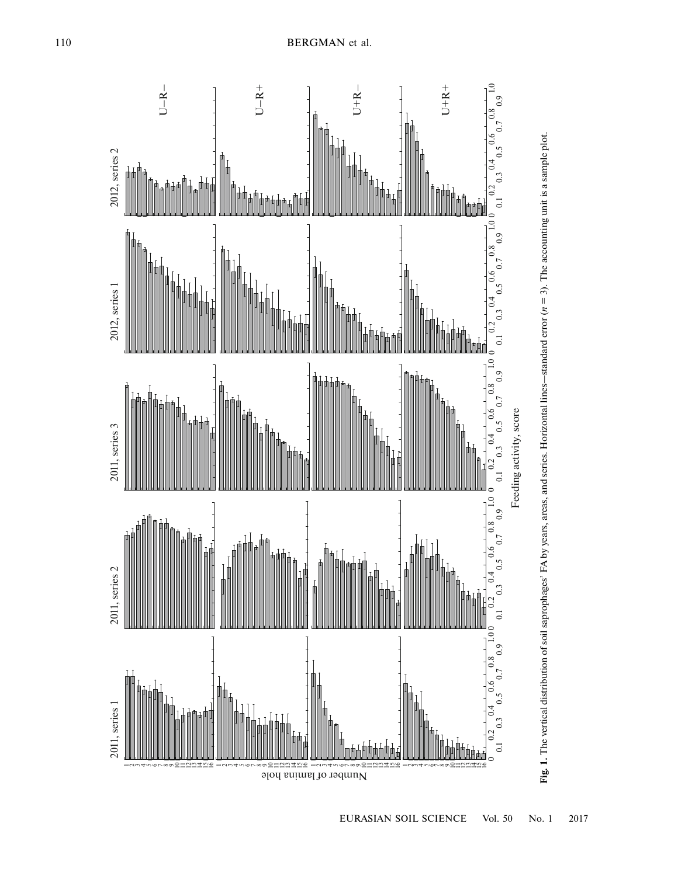



EURASIAN SOIL SCIENCE Vol. 50 No. 1 2017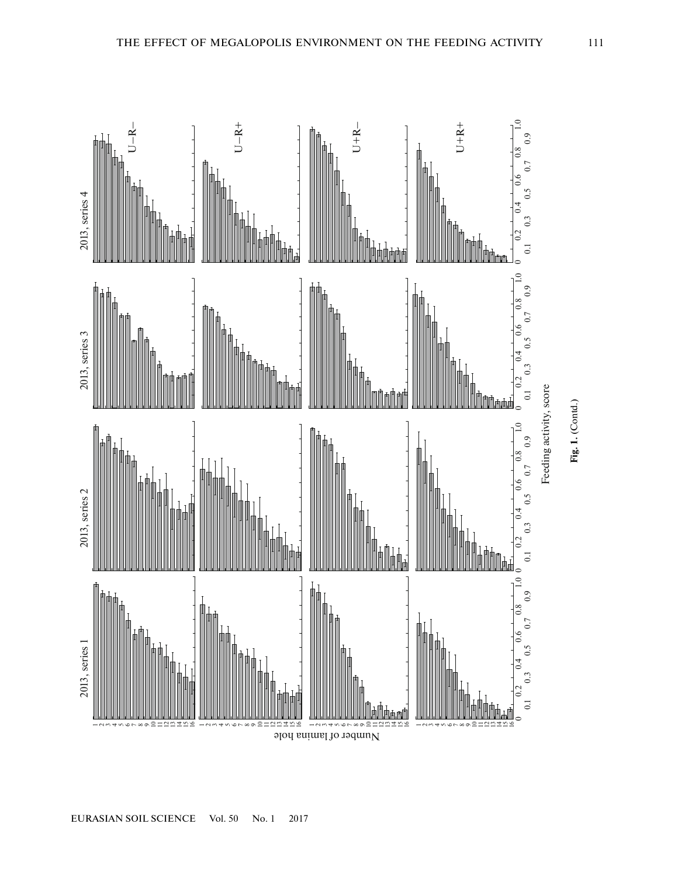

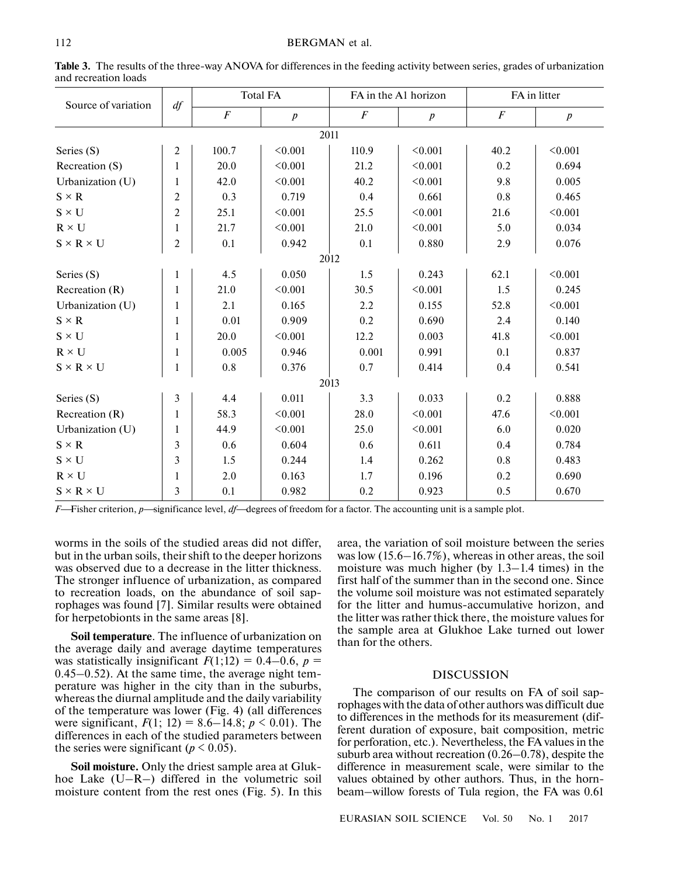| Source of variation   | $df$                    | <b>Total FA</b>  |                  | FA in the A1 horizon |                  | FA in litter     |                  |  |
|-----------------------|-------------------------|------------------|------------------|----------------------|------------------|------------------|------------------|--|
|                       |                         | $\boldsymbol{F}$ | $\boldsymbol{p}$ | $\boldsymbol{F}$     | $\boldsymbol{p}$ | $\boldsymbol{F}$ | $\boldsymbol{p}$ |  |
| 2011                  |                         |                  |                  |                      |                  |                  |                  |  |
| Series (S)            | $\overline{2}$          | 100.7            | < 0.001          | 110.9                | < 0.001          | 40.2             | < 0.001          |  |
| Recreation (S)        | $\mathbf{1}$            | 20.0             | < 0.001          | 21.2                 | < 0.001          | 0.2              | 0.694            |  |
| Urbanization (U)      | 1                       | 42.0             | < 0.001          | 40.2                 | < 0.001          | 9.8              | 0.005            |  |
| $S \times R$          | 2                       | 0.3              | 0.719            | 0.4                  | 0.661            | 0.8              | 0.465            |  |
| $S \times U$          | $\overline{c}$          | 25.1             | < 0.001          | 25.5                 | < 0.001          | 21.6             | < 0.001          |  |
| $R \times U$          | 1                       | 21.7             | < 0.001          | 21.0                 | < 0.001          | 5.0              | 0.034            |  |
| $S \times R \times U$ | $\overline{c}$          | 0.1              | 0.942            | 0.1                  | 0.880            | 2.9              | 0.076            |  |
| 2012                  |                         |                  |                  |                      |                  |                  |                  |  |
| Series (S)            | 1                       | 4.5              | 0.050            | 1.5                  | 0.243            | 62.1             | < 0.001          |  |
| Recreation $(R)$      | 1                       | 21.0             | < 0.001          | 30.5                 | < 0.001          | 1.5              | 0.245            |  |
| Urbanization (U)      | 1                       | 2.1              | 0.165            | 2.2                  | 0.155            | 52.8             | < 0.001          |  |
| $S \times R$          | 1                       | 0.01             | 0.909            | 0.2                  | 0.690            | 2.4              | 0.140            |  |
| $S \times U$          | 1                       | 20.0             | < 0.001          | 12.2                 | 0.003            | 41.8             | < 0.001          |  |
| $R \times U$          | 1                       | 0.005            | 0.946            | 0.001                | 0.991            | 0.1              | 0.837            |  |
| $S \times R \times U$ | 1                       | 0.8              | 0.376            | 0.7                  | 0.414            | 0.4              | 0.541            |  |
| 2013                  |                         |                  |                  |                      |                  |                  |                  |  |
| Series (S)            | 3                       | 4.4              | 0.011            | 3.3                  | 0.033            | 0.2              | 0.888            |  |
| Recreation $(R)$      | 1                       | 58.3             | < 0.001          | 28.0                 | < 0.001          | 47.6             | < 0.001          |  |
| Urbanization (U)      | 1                       | 44.9             | < 0.001          | 25.0                 | < 0.001          | 6.0              | 0.020            |  |
| $S \times R$          | 3                       | 0.6              | 0.604            | 0.6                  | 0.611            | 0.4              | 0.784            |  |
| $S \times U$          | $\overline{\mathbf{3}}$ | 1.5              | 0.244            | 1.4                  | 0.262            | 0.8              | 0.483            |  |
| $R \times U$          | 1                       | 2.0              | 0.163            | 1.7                  | 0.196            | 0.2              | 0.690            |  |
| $S \times R \times U$ | 3                       | 0.1              | 0.982            | 0.2                  | 0.923            | 0.5              | 0.670            |  |

**Table 3.** The results of the three-way ANOVA for differences in the feeding activity between series, grades of urbanization and recreation loads

*F*—Fisher criterion, *p*—significance level, *df*—degrees of freedom for a factor. The accounting unit is a sample plot.

worms in the soils of the studied areas did not differ, but in the urban soils, their shift to the deeper horizons was observed due to a decrease in the litter thickness. The stronger influence of urbanization, as compared to recreation loads, on the abundance of soil saprophages was found [7]. Similar results were obtained for herpetobionts in the same areas [8].

**Soil temperature**. The influence of urbanization on the average daily and average daytime temperatures was statistically insignificant  $F(1;12) = 0.4-0.6$ ,  $p =$ 0.45–0.52). At the same time, the average night temperature was higher in the city than in the suburbs, whereas the diurnal amplitude and the daily variability of the temperature was lower (Fig. 4) (all differences were significant,  $F(1; 12) = 8.6 - 14.8$ ;  $p \le 0.01$ ). The differences in each of the studied parameters between the series were significant ( $p \le 0.05$ ).

**Soil moisture.** Only the driest sample area at Glukhoe Lake (U–R–) differed in the volumetric soil moisture content from the rest ones (Fig. 5). In this area, the variation of soil moisture between the series was low (15.6–16.7%), whereas in other areas, the soil moisture was much higher (by 1.3–1.4 times) in the first half of the summer than in the second one. Since the volume soil moisture was not estimated separately for the litter and humus-accumulative horizon, and the litter was rather thick there, the moisture values for the sample area at Glukhoe Lake turned out lower than for the others.

## DISCUSSION

The comparison of our results on FA of soil saprophages with the data of other authors was difficult due to differences in the methods for its measurement (different duration of exposure, bait composition, metric for perforation, etc.). Nevertheless, the FA values in the suburb area without recreation (0.26–0.78), despite the difference in measurement scale, were similar to the values obtained by other authors. Thus, in the hornbeam–willow forests of Tula region, the FA was 0.61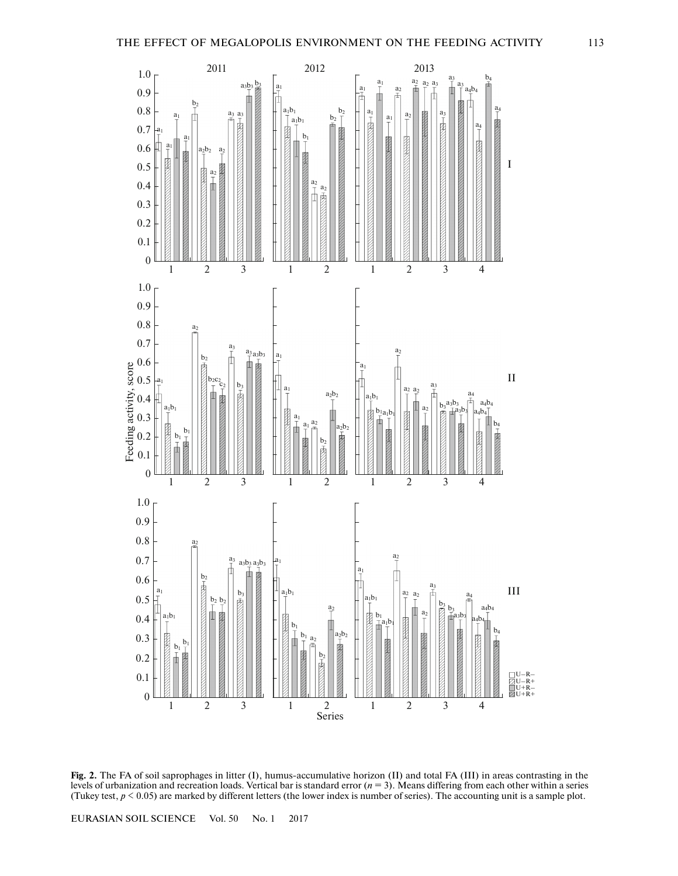

**Fig. 2.** The FA of soil saprophages in litter (I), humus-accumulative horizon (II) and total FA (III) in areas contrasting in the levels of urbanization and recreation loads. Vertical bar is standard error (*n* = 3). Means differing from each other within a series (Tukey test,  $p \le 0.05$ ) are marked by different letters (the lower index is number of series). The accounting unit is a sample plot.

123 1 2 1234

EURASIAN SOIL SCIENCE Vol. 50 No. 1 2017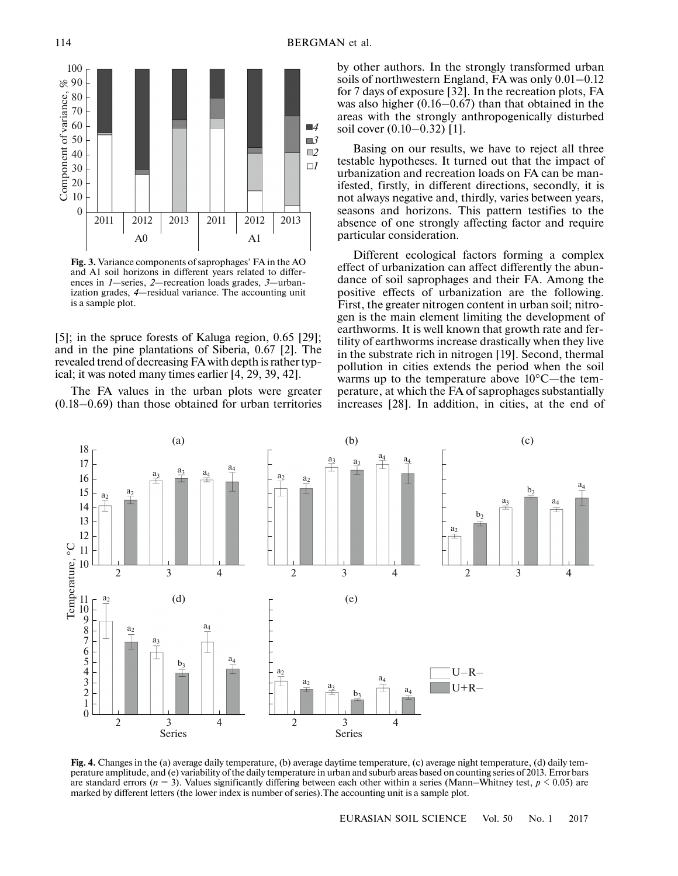

**Fig. 3.** Variance components of saprophages' FA in the AO and A1 soil horizons in different years related to differences in *1*—series, *2*—recreation loads grades, *3*—urbanization grades, *4*—residual variance. The accounting unit is a sample plot.

[5]; in the spruce forests of Kaluga region, 0.65 [29]; and in the pine plantations of Siberia, 0.67 [2]. The revealed trend of decreasing FA with depth is rather typical; it was noted many times earlier [4, 29, 39, 42].

The FA values in the urban plots were greater (0.18–0.69) than those obtained for urban territories by other authors. In the strongly transformed urban soils of northwestern England, FA was only 0.01–0.12 for 7 days of exposure [32]. In the recreation plots, FA was also higher (0.16–0.67) than that obtained in the areas with the strongly anthropogenically disturbed soil cover (0.10–0.32) [1].

Basing on our results, we have to reject all three testable hypotheses. It turned out that the impact of urbanization and recreation loads on FA can be manifested, firstly, in different directions, secondly, it is not always negative and, thirdly, varies between years, seasons and horizons. This pattern testifies to the absence of one strongly affecting factor and require particular consideration.

Different ecological factors forming a complex effect of urbanization can affect differently the abundance of soil saprophages and their FA. Among the positive effects of urbanization are the following. First, the greater nitrogen content in urban soil; nitrogen is the main element limiting the development of earthworms. It is well known that growth rate and fertility of earthworms increase drastically when they live in the substrate rich in nitrogen [19]. Second, thermal pollution in cities extends the period when the soil warms up to the temperature above 10°C—the temperature, at which the FA of saprophages substantially increases [28]. In addition, in cities, at the end of



**Fig. 4.** Changes in the (a) average daily temperature, (b) average daytime temperature, (c) average night temperature, (d) daily temperature amplitude, and (e) variability of the daily temperature in urban and suburb areas based on counting series of 2013. Error bars are standard errors ( $n = 3$ ). Values significantly differing between each other within a series (Mann–Whitney test,  $p < 0.05$ ) are marked by different letters (the lower index is number of series).The accounting unit is a sample plot.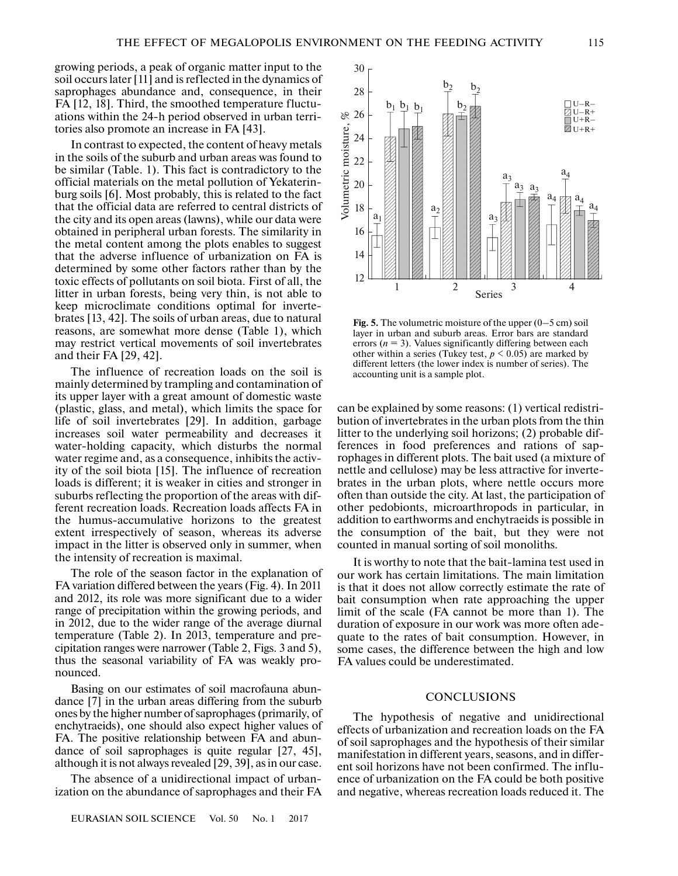growing periods, a peak of organic matter input to the soil occurs later [11] and is reflected in the dynamics of saprophages abundance and, consequence, in their FA [12, 18]. Third, the smoothed temperature fluctuations within the 24-h period observed in urban territories also promote an increase in FA [43].

In contrast to expected, the content of heavy metals in the soils of the suburb and urban areas was found to be similar (Table. 1). This fact is contradictory to the official materials on the metal pollution of Yekaterinburg soils [6]. Most probably, this is related to the fact that the official data are referred to central districts of the city and its open areas (lawns), while our data were obtained in peripheral urban forests. The similarity in the metal content among the plots enables to suggest that the adverse influence of urbanization on FA is determined by some other factors rather than by the toxic effects of pollutants on soil biota. First of all, the litter in urban forests, being very thin, is not able to keep microclimate conditions optimal for invertebrates [13, 42]. The soils of urban areas, due to natural reasons, are somewhat more dense (Table 1), which may restrict vertical movements of soil invertebrates and their FA [29, 42].

The influence of recreation loads on the soil is mainly determined by trampling and contamination of its upper layer with a great amount of domestic waste (plastic, glass, and metal), which limits the space for life of soil invertebrates [29]. In addition, garbage increases soil water permeability and decreases it water-holding capacity, which disturbs the normal water regime and, as a consequence, inhibits the activity of the soil biota [15]. The influence of recreation loads is different; it is weaker in cities and stronger in suburbs reflecting the proportion of the areas with different recreation loads. Recreation loads affects FA in the humus-accumulative horizons to the greatest extent irrespectively of season, whereas its adverse impact in the litter is observed only in summer, when the intensity of recreation is maximal.

The role of the season factor in the explanation of FA variation differed between the years (Fig. 4). In 2011 and 2012, its role was more significant due to a wider range of precipitation within the growing periods, and in 2012, due to the wider range of the average diurnal temperature (Table 2). In 2013, temperature and precipitation ranges were narrower (Table 2, Figs. 3 and 5), thus the seasonal variability of FA was weakly pronounced.

Basing on our estimates of soil macrofauna abundance [7] in the urban areas differing from the suburb ones by the higher number of saprophages (primarily, of enchytraeids), one should also expect higher values of FA. The positive relationship between FA and abundance of soil saprophages is quite regular [27, 45], although it is not always revealed [29, 39], as in our case.

The absence of a unidirectional impact of urbanization on the abundance of saprophages and their FA



**Fig. 5.** The volumetric moisture of the upper (0–5 cm) soil layer in urban and suburb areas. Error bars are standard errors  $(n = 3)$ . Values significantly differing between each other within a series (Tukey test,  $p \le 0.05$ ) are marked by different letters (the lower index is number of series). The accounting unit is a sample plot.

can be explained by some reasons: (1) vertical redistribution of invertebrates in the urban plots from the thin litter to the underlying soil horizons; (2) probable differences in food preferences and rations of saprophages in different plots. The bait used (a mixture of nettle and cellulose) may be less attractive for invertebrates in the urban plots, where nettle occurs more often than outside the city. At last, the participation of other pedobionts, microarthropods in particular, in addition to earthworms and enchytraeids is possible in the consumption of the bait, but they were not counted in manual sorting of soil monoliths.

It is worthy to note that the bait-lamina test used in our work has certain limitations. The main limitation is that it does not allow correctly estimate the rate of bait consumption when rate approaching the upper limit of the scale (FA cannot be more than 1). The duration of exposure in our work was more often adequate to the rates of bait consumption. However, in some cases, the difference between the high and low FA values could be underestimated.

## **CONCLUSIONS**

The hypothesis of negative and unidirectional effects of urbanization and recreation loads on the FA of soil saprophages and the hypothesis of their similar manifestation in different years, seasons, and in different soil horizons have not been confirmed. The influence of urbanization on the FA could be both positive and negative, whereas recreation loads reduced it. The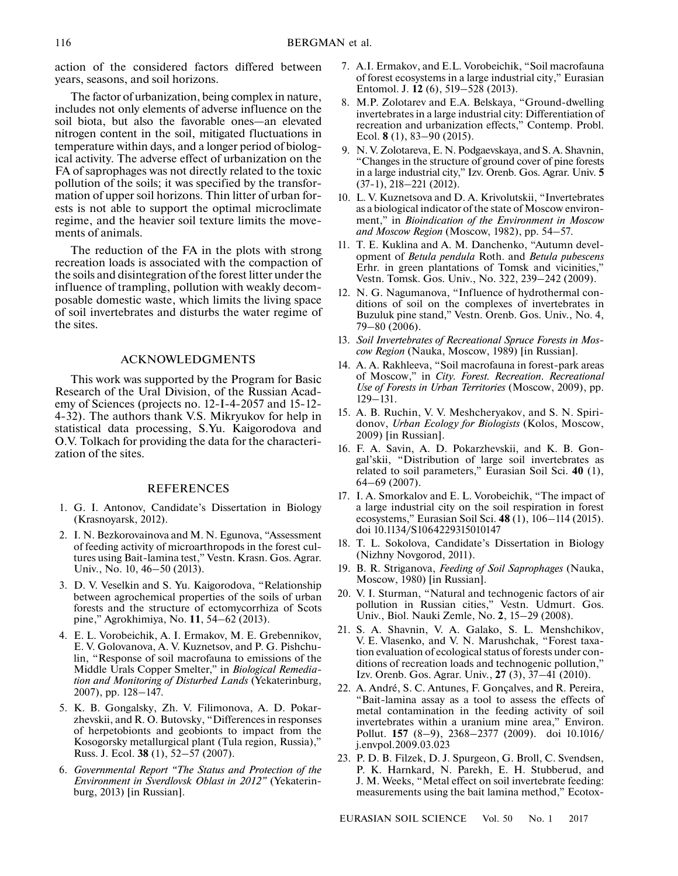action of the considered factors differed between years, seasons, and soil horizons.

The factor of urbanization, being complex in nature, includes not only elements of adverse influence on the soil biota, but also the favorable ones—an elevated nitrogen content in the soil, mitigated fluctuations in temperature within days, and a longer period of biological activity. The adverse effect of urbanization on the FA of saprophages was not directly related to the toxic pollution of the soils; it was specified by the transformation of upper soil horizons. Thin litter of urban forests is not able to support the optimal microclimate regime, and the heavier soil texture limits the movements of animals.

The reduction of the FA in the plots with strong recreation loads is associated with the compaction of the soils and disintegration of the forest litter under the influence of trampling, pollution with weakly decomposable domestic waste, which limits the living space of soil invertebrates and disturbs the water regime of the sites.

## ACKNOWLEDGMENTS

This work was supported by the Program for Basic Research of the Ural Division, of the Russian Academy of Sciences (projects no. 12-I-4-2057 and 15-12- 4-32). The authors thank V.S. Mikryukov for help in statistical data processing, S.Yu. Kaigorodova and O.V. Tolkach for providing the data for the characterization of the sites.

#### REFERENCES

- 1. G. I. Antonov, Candidate's Dissertation in Biology (Krasnoyarsk, 2012).
- 2. I. N. Bezkorovainova and M. N. Egunova, "Assessment of feeding activity of microarthropods in the forest cultures using Bait-lamina test," Vestn. Krasn. Gos. Agrar. Univ., No. 10, 46–50 (2013).
- 3. D. V. Veselkin and S. Yu. Kaigorodova, "Relationship between agrochemical properties of the soils of urban forests and the structure of ectomycorrhiza of Scots pine," Agrokhimiya, No. **11**, 54–62 (2013).
- 4. E. L. Vorobeichik, A. I. Ermakov, M. E. Grebennikov, E. V. Golovanova, A. V. Kuznetsov, and P. G. Pishchulin, "Response of soil macrofauna to emissions of the Middle Urals Copper Smelter," in *Biological Remediation and Monitoring of Disturbed Lands* (Yekaterinburg, 2007), pp. 128–147.
- 5. K. B. Gongalsky, Zh. V. Filimonova, A. D. Pokarzhevskii, and R. O. Butovsky, "Differences in responses of herpetobionts and geobionts to impact from the Kosogorsky metallurgical plant (Tula region, Russia)," Russ. J. Ecol. **38** (1), 52–57 (2007).
- 6. *Governmental Report "The Status and Protection of the Environment in Sverdlovsk Oblast in 2012"* (Yekaterinburg, 2013) [in Russian].
- 7. A.I. Ermakov, and E.L. Vorobeichik, "Soil macrofauna of forest ecosystems in a large industrial city," Eurasian Entomol. J. **12** (6), 519–528 (2013).
- 8. M.P. Zolotarev and E.A. Belskaya, "Ground-dwelling invertebrates in a large industrial city: Differentiation of recreation and urbanization effects," Contemp. Probl. Ecol. **8** (1), 83–90 (2015).
- 9. N. V. Zolotareva, E. N. Podgaevskaya, and S. A. Shavnin, "Changes in the structure of ground cover of pine forests in a large industrial city," Izv. Orenb. Gos. Agrar. Univ. **5** (37-1), 218–221 (2012).
- 10. L. V. Kuznetsova and D. A. Krivolutskii, "Invertebrates as a biological indicator of the state of Moscow environment," in *Bioindication of the Environment in Moscow and Moscow Region* (Moscow, 1982), pp. 54–57.
- 11. T. E. Kuklina and A. M. Danchenko, "Autumn development of *Betula pendula* Roth. and *Betula pubescens* Erhr. in green plantations of Tomsk and vicinities," Vestn. Tomsk. Gos. Univ., No. 322, 239–242 (2009).
- 12. N. G. Nagumanova, "Influence of hydrothermal conditions of soil on the complexes of invertebrates in Buzuluk pine stand," Vestn. Orenb. Gos. Univ., No. 4, 79–80 (2006).
- 13. *Soil Invertebrates of Recreational Spruce Forests in Moscow Region* (Nauka, Moscow, 1989) [in Russian].
- 14. A. A. Rakhleeva, "Soil macrofauna in forest-park areas of Moscow," in *City. Forest. Recreation. Recreational Use of Forests in Urban Territories* (Moscow, 2009), pp. 129–131.
- 15. A. B. Ruchin, V. V. Meshcheryakov, and S. N. Spiridonov, *Urban Ecology for Biologists* (Kolos, Moscow, 2009) [in Russian].
- 16. F. A. Savin, A. D. Pokarzhevskii, and K. B. Gongal'skii, "Distribution of large soil invertebrates as related to soil parameters," Eurasian Soil Sci. **40** (1), 64–69 (2007).
- 17. I. A. Smorkalov and E. L. Vorobeichik, "The impact of a large industrial city on the soil respiration in forest ecosystems," Eurasian Soil Sci. **48** (1), 106–114 (2015). doi 10.1134/S1064229315010147
- 18. T. L. Sokolova, Candidate's Dissertation in Biology (Nizhny Novgorod, 2011).
- 19. B. R. Striganova, *Feeding of Soil Saprophages* (Nauka, Moscow, 1980) [in Russian].
- 20. V. I. Sturman, "Natural and technogenic factors of air pollution in Russian cities," Vestn. Udmurt. Gos. Univ., Biol. Nauki Zemle, No. **2**, 15–29 (2008).
- 21. S. A. Shavnin, V. A. Galako, S. L. Menshchikov, V. E. Vlasenko, and V. N. Marushchak, "Forest taxation evaluation of ecological status of forests under conditions of recreation loads and technogenic pollution," Izv. Orenb. Gos. Agrar. Univ., **27** (3), 37–41 (2010).
- 22. A. André, S. C. Antunes, F. Gonçalves, and R. Pereira, "Bait-lamina assay as a tool to assess the effects of metal contamination in the feeding activity of soil invertebrates within a uranium mine area," Environ. Pollut. **157** (8–9), 2368–2377 (2009). doi 10.1016/ j.envpol.2009.03.023
- 23. P. D. B. Filzek, D. J. Spurgeon, G. Broll, C. Svendsen, P. K. Harnkard, N. Parekh, E. H. Stubberud, and J. M. Weeks, "Metal effect on soil invertebrate feeding: measurements using the bait lamina method," Ecotox-

EURASIAN SOIL SCIENCE Vol. 50 No. 1 2017